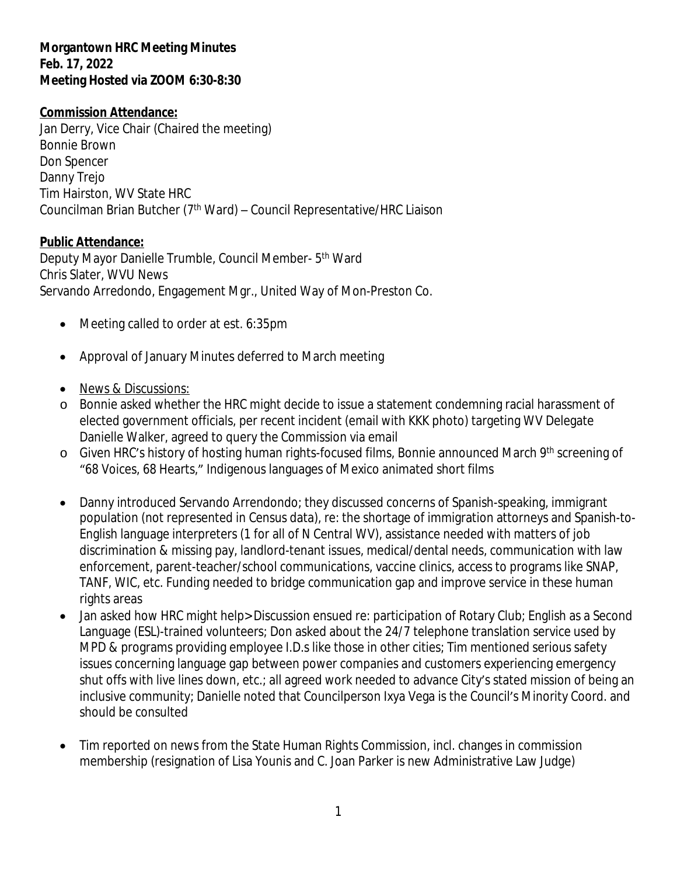## **Morgantown HRC Meeting Minutes Feb. 17, 2022 Meeting Hosted via ZOOM 6:30-8:30**

## **Commission Attendance:**

Jan Derry, Vice Chair (Chaired the meeting) Bonnie Brown Don Spencer Danny Trejo Tim Hairston, WV State HRC Councilman Brian Butcher (7<sup>th</sup> Ward) – Council Representative/HRC Liaison

## **Public Attendance:**

Deputy Mayor Danielle Trumble, Council Member- 5th Ward Chris Slater, WVU News Servando Arredondo, Engagement Mgr., United Way of Mon-Preston Co.

- Meeting called to order at est. 6:35pm
- Approval of January Minutes deferred to March meeting
- News & Discussions:
- o Bonnie asked whether the HRC might decide to issue a statement condemning racial harassment of elected government officials, per recent incident (email with KKK photo) targeting WV Delegate Danielle Walker, agreed to query the Commission via email
- o Given HRC's history of hosting human rights-focused films, Bonnie announced March 9th screening of "68 Voices, 68 Hearts," Indigenous languages of Mexico animated short films
- Danny introduced Servando Arrendondo; they discussed concerns of Spanish-speaking, immigrant population (not represented in Census data), re: the shortage of immigration attorneys and Spanish-to-English language interpreters (1 for all of N Central WV), assistance needed with matters of job discrimination & missing pay, landlord-tenant issues, medical/dental needs, communication with law enforcement, parent-teacher/school communications, vaccine clinics, access to programs like SNAP, TANF, WIC, etc. Funding needed to bridge communication gap and improve service in these human rights areas
- Jan asked how HRC might help> Discussion ensued re: participation of Rotary Club; English as a Second Language (ESL)-trained volunteers; Don asked about the 24/7 telephone translation service used by MPD & programs providing employee I.D.s like those in other cities; Tim mentioned serious safety issues concerning language gap between power companies and customers experiencing emergency shut offs with live lines down, etc.; all agreed work needed to advance City's stated mission of being an inclusive community; Danielle noted that Councilperson Ixya Vega is the Council's Minority Coord. and should be consulted
- Tim reported on news from the State Human Rights Commission, incl. changes in commission membership (resignation of Lisa Younis and C. Joan Parker is new Administrative Law Judge)